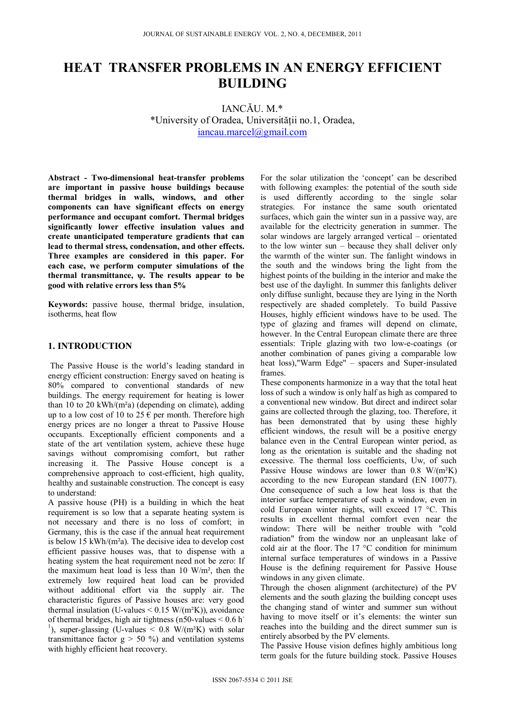# **HEAT TRANSFER PROBLEMS IN AN ENERGY EFFICIENT BUILDING**

IANCĂU. M.\* \*University of Oradea, Universităţii no.1, Oradea, iancau.marcel@gmail.com

**Abstract - Two-dimensional heat-transfer problems are important in passive house buildings because thermal bridges in walls, windows, and other components can have significant effects on energy performance and occupant comfort. Thermal bridges significantly lower effective insulation values and create unanticipated temperature gradients that can lead to thermal stress, condensation, and other effects. Three examples are considered in this paper. For each case, we perform computer simulations of the thermal transmittance, ψ. The results appear to be good with relative errors less than 5%** 

**Keywords:** passive house, thermal bridge, insulation, isotherms, heat flow

# **1. INTRODUCTION**

 The Passive House is the world's leading standard in energy efficient construction: Energy saved on heating is 80% compared to conventional standards of new buildings. The energy requirement for heating is lower than 10 to 20 kWh/ $(m<sup>2</sup>a)$  (depending on climate), adding up to a low cost of 10 to 25  $\epsilon$  per month. Therefore high energy prices are no longer a threat to Passive House occupants. Exceptionally efficient components and a state of the art ventilation system, achieve these huge savings without compromising comfort, but rather increasing it. The Passive House concept is a comprehensive approach to cost-efficient, high quality, healthy and sustainable construction. The concept is easy to understand:

A passive house (PH) is a building in which the heat requirement is so low that a separate heating system is not necessary and there is no loss of comfort; in Germany, this is the case if the annual heat requirement is below 15 kWh/(m²a). The decisive idea to develop cost efficient passive houses was, that to dispense with a heating system the heat requirement need not be zero: If the maximum heat load is less than 10 W/m², then the extremely low required heat load can be provided without additional effort via the supply air. The characteristic figures of Passive houses are: very good thermal insulation (U-values  $< 0.15$  W/(m<sup>2</sup>K)), avoidance of thermal bridges, high air tightness (n50-values  $< 0.6$  h<sup>-</sup> <sup>1</sup>), super-glassing (U-values <  $0.8 \text{ W/(m}^2\text{K})$  with solar transmittance factor  $g > 50$  %) and ventilation systems with highly efficient heat recovery.

For the solar utilization the 'concept' can be described with following examples: the potential of the south side is used differently according to the single solar strategies. For instance the same south orientated surfaces, which gain the winter sun in a passive way, are available for the electricity generation in summer. The solar windows are largely arranged vertical – orientated to the low winter sun – because they shall deliver only the warmth of the winter sun. The fanlight windows in the south and the windows bring the light from the highest points of the building in the interior and make the best use of the daylight. In summer this fanlights deliver only diffuse sunlight, because they are lying in the North respectively are shaded completely. To build Passive Houses, highly efficient windows have to be used. The type of glazing and frames will depend on climate, however. In the Central European climate there are three essentials: Triple glazing with two low-e-coatings (or another combination of panes giving a comparable low heat loss),"Warm Edge" – spacers and Super-insulated frames.

These components harmonize in a way that the total heat loss of such a window is only half as high as compared to a conventional new window. But direct and indirect solar gains are collected through the glazing, too. Therefore, it has been demonstrated that by using these highly efficient windows, the result will be a positive energy balance even in the Central European winter period, as long as the orientation is suitable and the shading not excessive. The thermal loss coefficients, Uw, of such Passive House windows are lower than  $0.8 \text{ W/(m²K)}$ according to the new European standard (EN 10077). One consequence of such a low heat loss is that the interior surface temperature of such a window, even in cold European winter nights, will exceed 17 °C. This results in excellent thermal comfort even near the window: There will be neither trouble with "cold radiation" from the window nor an unpleasant lake of cold air at the floor. The 17 °C condition for minimum internal surface temperatures of windows in a Passive House is the defining requirement for Passive House windows in any given climate.

Through the chosen alignment (architecture) of the PV elements and the south glazing the building concept uses the changing stand of winter and summer sun without having to move itself or it's elements: the winter sun reaches into the building and the direct summer sun is entirely absorbed by the PV elements.

The Passive House vision defines highly ambitious long term goals for the future building stock. Passive Houses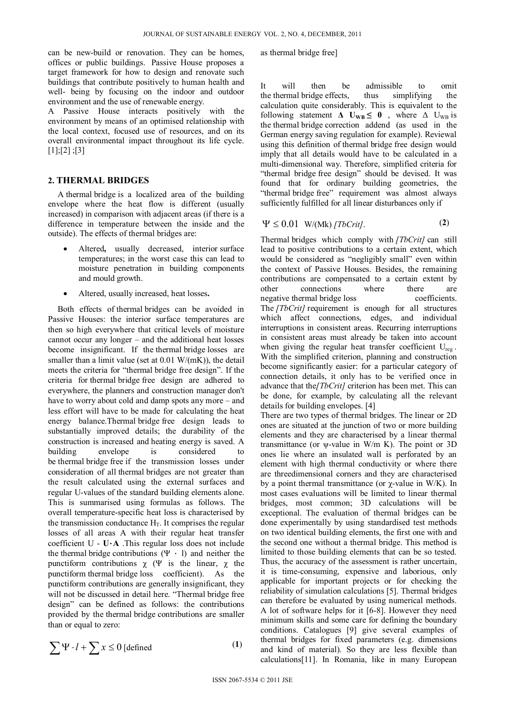can be new-build or renovation. They can be homes, offices or public buildings. Passive House proposes a target framework for how to design and renovate such buildings that contribute positively to human health and well- being by focusing on the indoor and outdoor environment and the use of renewable energy.

A Passive House interacts positively with the environment by means of an optimised relationship with the local context, focused use of resources, and on its overall environmental impact throughout its life cycle.  $[1]$ ;[2] ;[3]

## **2. THERMAL BRIDGES**

A thermal bridge is a localized area of the building envelope where the heat flow is different (usually increased) in comparison with adjacent areas (if there is a difference in temperature between the inside and the outside). The effects of thermal bridges are:

- Altered**,** usually decreased, interior surface temperatures; in the worst case this can lead to moisture penetration in building components and mould growth.
- Altered, usually increased, heat losses**.**

Both effects of thermal bridges can be avoided in Passive Houses: the interior surface temperatures are then so high everywhere that critical levels of moisture cannot occur any longer – and the additional heat losses become insignificant. If the thermal bridge losses are smaller than a limit value (set at 0.01 W/(mK)), the detail meets the criteria for "thermal bridge free design". If the criteria for thermal bridge free design are adhered to everywhere, the planners and construction manager don't have to worry about cold and damp spots any more – and less effort will have to be made for calculating the heat energy balance.Thermal bridge free design leads to substantially improved details; the durability of the construction is increased and heating energy is saved. A building envelope is considered to be thermal bridge free if the transmission losses under consideration of all thermal bridges are not greater than the result calculated using the external surfaces and regular U-values of the standard building elements alone. This is summarised using formulas as follows. The overall temperature-specific heat loss is characterised by the transmission conductance  $H_T$ . It comprises the regular losses of all areas A with their regular heat transfer coefficient U - **U**⋅**A** .This regular loss does not include the thermal bridge contributions  $(\Psi \cdot \mathbf{l})$  and neither the punctiform contributions  $\gamma$  (Ψ is the linear,  $\gamma$  the punctiform thermal bridge loss coefficient). As the punctiform contributions are generally insignificant, they will not be discussed in detail here. "Thermal bridge free design" can be defined as follows: the contributions provided by the thermal bridge contributions are smaller than or equal to zero:

$$
\sum \Psi \cdot l + \sum x \le 0 \text{ [defined]}
$$
 (1)

as thermal bridge free]

It will then be admissible to omit the thermal bridge effects, thus simplifying the calculation quite considerably. This is equivalent to the following statement  $\Delta$  U<sub>WB</sub>  $\leq$  0, where  $\Delta$  U<sub>WB</sub> is the thermal bridge correction addend (as used in the German energy saving regulation for example). Reviewal using this definition of thermal bridge free design would imply that all details would have to be calculated in a multi-dimensional way. Therefore, simplified criteria for "thermal bridge free design" should be devised. It was found that for ordinary building geometries, the "thermal bridge free" requirement was almost always sufficiently fulfilled for all linear disturbances only if

$$
\Psi \leq 0.01 \quad W/(Mk) \, [TbCrit]. \tag{2}
$$

Thermal bridges which comply with *[TbCrit]* can still lead to positive contributions to a certain extent, which would be considered as "negligibly small" even within the context of Passive Houses. Besides, the remaining contributions are compensated to a certain extent by other connections where there are negative thermal bridge loss coefficients. The *[TbCrit]* requirement is enough for all structures which affect connections, edges, and individual interruptions in consistent areas. Recurring interruptions in consistent areas must already be taken into account when giving the regular heat transfer coefficient  $U_{\text{reg}}$ . With the simplified criterion, planning and construction become significantly easier: for a particular category of connection details, it only has to be verified once in advance that the*[TbCrit]* criterion has been met. This can be done, for example, by calculating all the relevant details for building envelopes. [4]

There are two types of thermal bridges. The linear or 2D ones are situated at the junction of two or more building elements and they are characterised by a linear thermal transmittance (or  $\psi$ -value in W/m K). The point or 3D ones lie where an insulated wall is perforated by an element with high thermal conductivity or where there are threedimensional corners and they are characterised by a point thermal transmittance (or χ-value in W/K). In most cases evaluations will be limited to linear thermal bridges, most common; 3D calculations will be exceptional. The evaluation of thermal bridges can be done experimentally by using standardised test methods on two identical building elements, the first one with and the second one without a thermal bridge. This method is limited to those building elements that can be so tested. Thus, the accuracy of the assessment is rather uncertain, it is time-consuming, expensive and laborious, only applicable for important projects or for checking the reliability of simulation calculations [5]. Thermal bridges can therefore be evaluated by using numerical methods. A lot of software helps for it [6-8]. However they need minimum skills and some care for defining the boundary conditions. Catalogues [9] give several examples of thermal bridges for fixed parameters (e.g. dimensions and kind of material). So they are less flexible than calculations[11]. In Romania, like in many European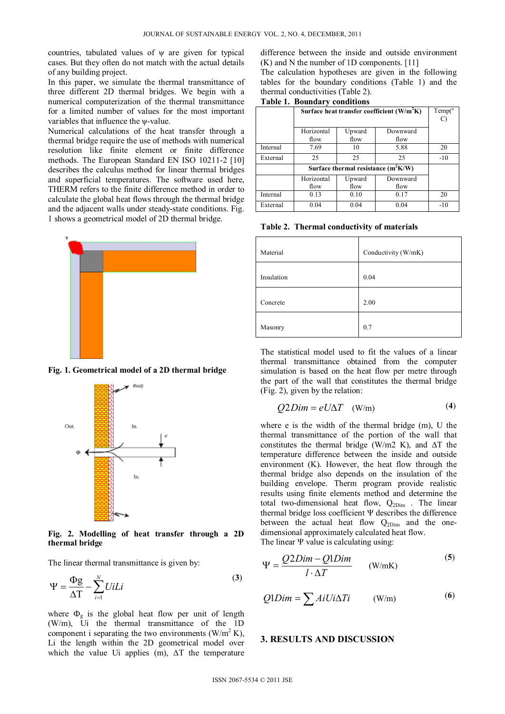countries, tabulated values of ψ are given for typical cases. But they often do not match with the actual details of any building project.

In this paper, we simulate the thermal transmittance of three different 2D thermal bridges. We begin with a numerical computerization of the thermal transmittance for a limited number of values for the most important variables that influence the ψ-value.

Numerical calculations of the heat transfer through a thermal bridge require the use of methods with numerical resolution like finite element or finite difference methods. The European Standard EN ISO 10211-2 [10] describes the calculus method for linear thermal bridges and superficial temperatures. The software used here, THERM refers to the finite difference method in order to calculate the global heat flows through the thermal bridge and the adjacent walls under steady-state conditions. Fig. 1 shows a geometrical model of 2D thermal bridge.



**Fig. 1. Geometrical model of a 2D thermal bridge**



**Fig. 2. Modelling of heat transfer through a 2D thermal bridge** 

The linear thermal transmittance is given by:

$$
\Psi = \frac{\Phi g}{\Delta T} - \sum_{i=1}^{N} U i L i
$$
 (3)

where  $\Phi_{g}$  is the global heat flow per unit of length (W/m), Ui the thermal transmittance of the 1D component i separating the two environments  $(W/m^2 K)$ , Li the length within the 2D geometrical model over which the value Ui applies (m), ΔT the temperature

difference between the inside and outside environment (K) and N the number of 1D components. [11]

The calculation hypotheses are given in the following tables for the boundary conditions (Table 1) and the thermal conductivities (Table 2).

**Table 1. Boundary conditions** 

|          | Surface heat transfer coefficient (W/m <sup>2</sup> K) | Temp(°) |          |       |
|----------|--------------------------------------------------------|---------|----------|-------|
|          | Horizontal                                             | Upward  | Downward |       |
|          | flow                                                   | flow    | flow     |       |
| Internal | 7.69                                                   | 10      | 5.88     | 20    |
| External | 25                                                     | 25      | 25       | $-10$ |
|          | Surface thermal resistance $(m^2K/W)$                  |         |          |       |
|          | Horizontal                                             | Upward  | Downward |       |
|          | flow                                                   | flow    | flow     |       |
| Internal | 0.13                                                   | 0.10    | 0.17     | 20    |
| External | 0.04                                                   | 0.04    | 0.04     | $-10$ |

**Table 2. Thermal conductivity of materials** 

| Material   | Conductivity (W/mK) |
|------------|---------------------|
| Insulation | 0.04                |
| Concrete   | 2.00                |
| Masonry    | 0.7                 |

The statistical model used to fit the values of a linear thermal transmittance obtained from the computer simulation is based on the heat flow per metre through the part of the wall that constitutes the thermal bridge (Fig. 2), given by the relation:

$$
Q2Dim = eU\Delta T \quad (W/m) \tag{4}
$$

where e is the width of the thermal bridge (m), U the thermal transmittance of the portion of the wall that constitutes the thermal bridge (W/m2 K), and  $\Delta T$  the temperature difference between the inside and outside environment (K). However, the heat flow through the thermal bridge also depends on the insulation of the building envelope. Therm program provide realistic results using finite elements method and determine the total two-dimensional heat flow,  $Q_{2Dim}$  . The linear thermal bridge loss coefficient Ψ describes the difference between the actual heat flow  $Q_{2Dim}$  and the onedimensional approximately calculated heat flow. The linear Ψ value is calculating using:

$$
\Psi = \frac{Q2Dim - Q1Dim}{l \cdot \Delta T} \qquad (W/mK)
$$
 (5)

$$
Q1Dim = \sum AiUi\Delta Ti \qquad (W/m)
$$
 (6)

## **3. RESULTS AND DISCUSSION**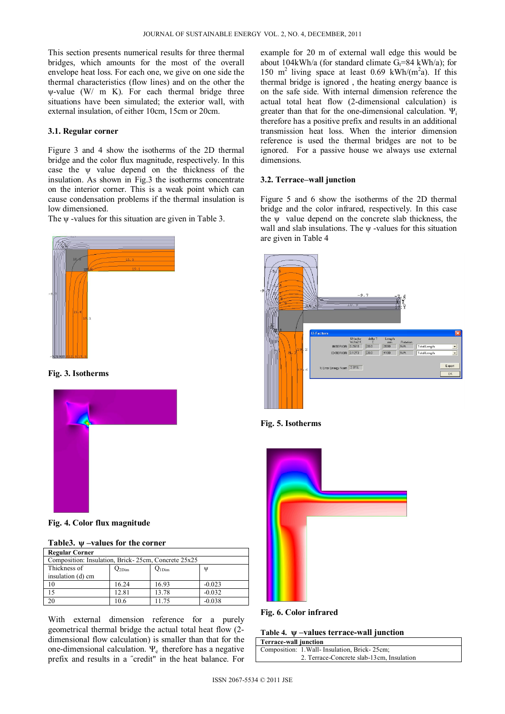This section presents numerical results for three thermal bridges, which amounts for the most of the overall envelope heat loss. For each one, we give on one side the thermal characteristics (flow lines) and on the other the ψ-value (W/ m K). For each thermal bridge three situations have been simulated; the exterior wall, with external insulation, of either 10cm, 15cm or 20cm.

#### **3.1. Regular corner**

Figure 3 and 4 show the isotherms of the 2D thermal bridge and the color flux magnitude, respectively. In this case the ψ value depend on the thickness of the insulation. As shown in Fig.3 the isotherms concentrate on the interior corner. This is a weak point which can cause condensation problems if the thermal insulation is low dimensioned.

The ψ -values for this situation are given in Table 3.



**Fig. 3. Isotherms**



**Fig. 4. Color flux magnitude** 

| Table 3. $\psi$ –values for the corner |  |  |
|----------------------------------------|--|--|
|                                        |  |  |

| <b>Regular Corner</b>                               |          |                   |          |
|-----------------------------------------------------|----------|-------------------|----------|
| Composition: Insulation, Brick-25cm, Concrete 25x25 |          |                   |          |
| Thickness of                                        | $22$ Dim | $Q_{1Dimrm{Dim}}$ | W        |
| insulation (d) cm                                   |          |                   |          |
| 10                                                  | 16.24    | 16.93             | $-0.023$ |
| 15                                                  | 12.81    | 13.78             | $-0.032$ |
| 20                                                  | 10.6     | 11.75             | $-0.038$ |

With external dimension reference for a purely geometrical thermal bridge the actual total heat flow (2 dimensional flow calculation) is smaller than that for the one-dimensional calculation.  $\Psi_e$  therefore has a negative prefix and results in a ˝credit" in the heat balance. For

example for 20 m of external wall edge this would be about 104kWh/a (for standard climate  $G_t$ =84 kWh/a); for 150 m<sup>2</sup> living space at least 0.69 kWh/(m<sup>2</sup>a). If this thermal bridge is ignored , the heating energy baance is on the safe side. With internal dimension reference the actual total heat flow (2-dimensional calculation) is greater than that for the one-dimensional calculation.  $\Psi_i$ therefore has a positive prefix and results in an additional transmission heat loss. When the interior dimension reference is used the thermal bridges are not to be ignored. For a passive house we always use external dimensions.

#### **3.2. Terrace–wall junction**

Figure 5 and 6 show the isotherms of the 2D thermal bridge and the color infrared, respectively. In this case the ψ value depend on the concrete slab thickness, the wall and slab insulations. The ψ -values for this situation are given in Table 4



**Fig. 5. Isotherms** 



**Fig. 6. Color infrared** 

**Table 4. ψ –values terrace-wall junction**

| Terrace-wall junction |                                               |
|-----------------------|-----------------------------------------------|
|                       | Composition: 1. Wall- Insulation, Brick-25cm; |
|                       | 2. Terrace-Concrete slab-13cm, Insulation     |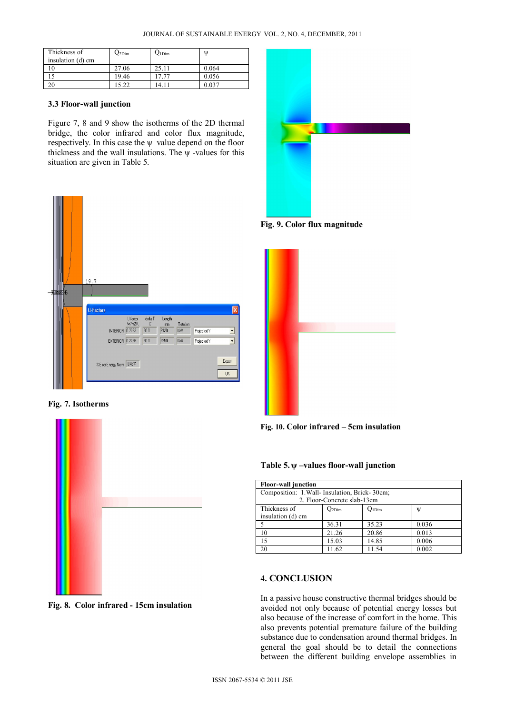| Thickness of      | $22$ Dim | $Q1$ Dim | $\mathbf{U}$ |
|-------------------|----------|----------|--------------|
| insulation (d) cm |          |          |              |
|                   | 27.06    | 25.11    | 0.064        |
|                   | 19.46    | 17.77    | 0.056        |
| 20                | 5.22     | 14.11    | 0.037        |

#### **3.3 Floor-wall junction**

Figure 7, 8 and 9 show the isotherms of the 2D thermal bridge, the color infrared and color flux magnitude, respectively. In this case the  $\psi$  value depend on the floor thickness and the wall insulations. The  $\psi$  -values for this situation are given in Table 5.



**Fig. 7. Isotherms** 



**Fig. 8. Color infrared - 15cm insulation** 



**Fig. 9. Color flux magnitude** 





## **Table 5. ψ –values floor-wall junction**

| <b>Floor-wall junction</b>                    |            |            |       |
|-----------------------------------------------|------------|------------|-------|
| Composition: 1. Wall- Insulation, Brick-30cm; |            |            |       |
| 2. Floor-Concrete slab-13cm                   |            |            |       |
| Thickness of                                  | $Q_{2Dim}$ | $Q_{1Dim}$ | W     |
| insulation (d) cm                             |            |            |       |
|                                               | 36.31      | 35.23      | 0.036 |
| 10                                            | 21.26      | 20.86      | 0.013 |
| 15                                            | 15.03      | 14.85      | 0.006 |
| 20                                            | 11.62      | 11.54      | 0.002 |

## **4. CONCLUSION**

In a passive house constructive thermal bridges should be avoided not only because of potential energy losses but also because of the increase of comfort in the home. This also prevents potential premature failure of the building substance due to condensation around thermal bridges. In general the goal should be to detail the connections between the different building envelope assemblies in